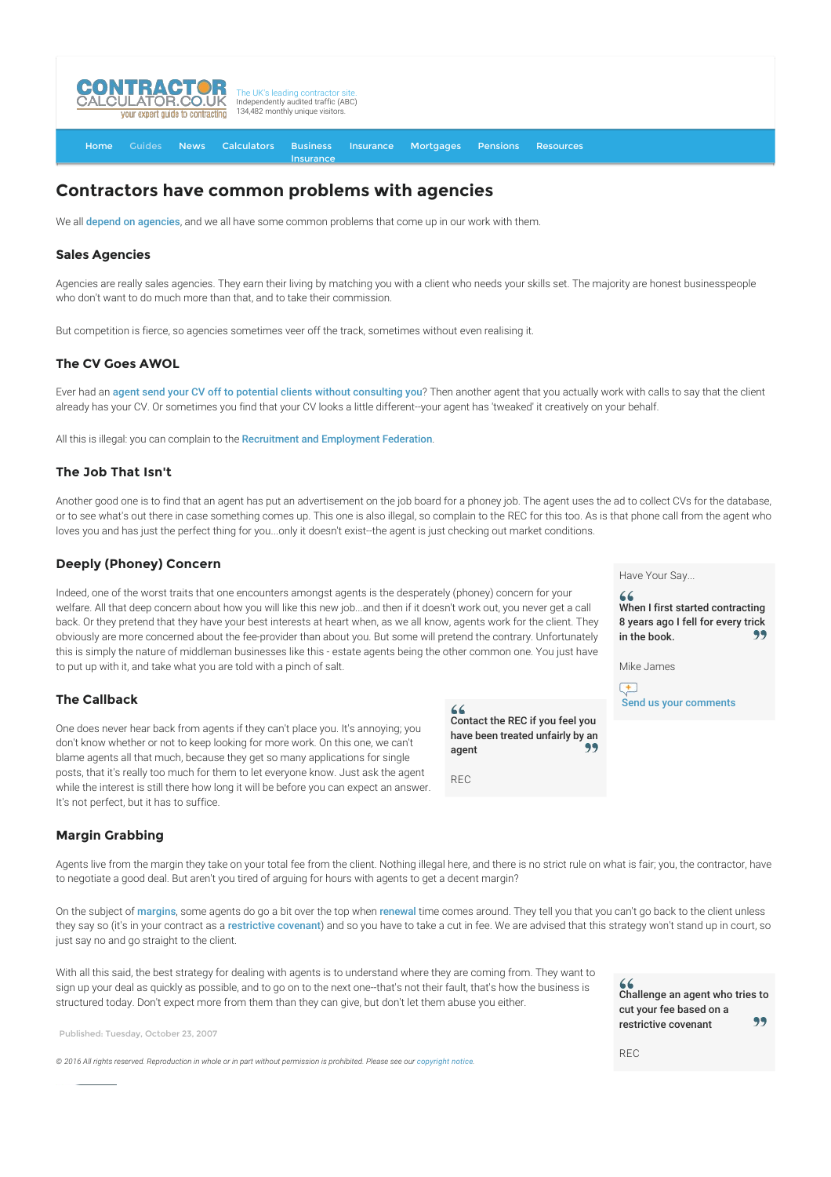

[Home](http://www.contractorcalculator.co.uk/) [Guides](http://www.contractorcalculator.co.uk/Articles.aspx) [News](http://www.contractorcalculator.co.uk/Contractor_News.aspx) [Calculators](http://www.contractorcalculator.co.uk/Calculators.aspx) Business [Insurance](http://www.contractorcalculator.co.uk/Contractor_Insurances.aspx) [Insurance](http://www.contractorcalculator.co.uk/Insurance.aspx) [Mortgages](http://www.contractorcalculator.co.uk/Contractor_Mortgages.aspx) [Pensions](http://www.contractorcalculator.co.uk/Contractor_Pensions.aspx) [Resources](http://www.contractorcalculator.co.uk/Contractor_Resources.aspx)

# **Contractors have common problems with agencies**

We all [depend on agencies](http://www.contractorcalculator.co.uk/advantages_of_using_agents.aspx), and we all have some common problems that come up in our work with them.

## **Sales Agencies**

Agencies are really sales agencies. They earn their living by matching you with a client who needs your skills set. The majority are honest businesspeople who don't want to do much more than that, and to take their commission.

But competition is fierce, so agencies sometimes veer off the track, sometimes without even realising it.

## **The CV Goes AWOL**

Ever had an [agent send your CV off to potential clients without consulting you](http://www.contractorcalculator.co.uk/when_a_contractor_cv_goes_awol.aspx)? Then another agent that you actually work with calls to say that the client already has your CV. Or sometimes you find that your CV looks a little different--your agent has 'tweaked' it creatively on your behalf.

All this is illegal: you can complain to the [Recruitment and Employment Federation](http://www.rec.uk.com).

## **The Job That Isn't**

Another good one is to find that an agent has put an advertisement on the job board for a phoney job. The agent uses the ad to collect CVs for the database, or to see what's out there in case something comes up. This one is also illegal, so complain to the REC for this too. As is that phone call from the agent who loves you and has just the perfect thing for you...only it doesn't exist--the agent is just checking out market conditions.

## **Deeply (Phoney) Concern**

Indeed, one of the worst traits that one encounters amongst agents is the desperately (phoney) concern for your welfare. All that deep concern about how you will like this new job...and then if it doesn't work out, you never get a call back. Or they pretend that they have your best interests at heart when, as we all know, agents work for the client. They obviously are more concerned about the fee-provider than about you. But some will pretend the contrary. Unfortunately this is simply the nature of middleman businesses like this - estate agents being the other common one. You just have to put up with it, and take what you are told with a pinch of salt.

## **The Callback**

One does never hear back from agents if they can't place you. It's annoying; you don't know whether or not to keep looking for more work. On this one, we can't blame agents all that much, because they get so many applications for single posts, that it's really too much for them to let everyone know. Just ask the agent while the interest is still there how long it will be before you can expect an answer. It's not perfect, but it has to suffice.

## **Margin Grabbing**

Agents live from the margin they take on your total fee from the client. Nothing illegal here, and there is no strict rule on what is fair; you, the contractor, have to negotiate a good deal. But aren't you tired of arguing for hours with agents to get a decent margin?

On the subject of [margins](http://www.contractorcalculator.co.uk/contractor_agency_margin.aspx), some agents do go a bit over the top when [renewal](http://www.contractorcalculator.co.uk/negotiating_contract_renewal.aspx) time comes around. They tell you that you can't go back to the client unless they say so (it's in your contract as a [restrictive covenant](http://www.contractorcalculator.co.uk/contractors_restrictive_covenants_agencies.aspx)) and so you have to take a cut in fee. We are advised that this strategy won't stand up in court, so just say no and go straight to the client.

With all this said, the best strategy for dealing with agents is to understand where they are coming from. They want to sign up your deal as quickly as possible, and to go on to the next one--that's not their fault, that's how the business is structured today. Don't expect more from them than they can give, but don't let them abuse you either.

Published: Tuesday, October 23, 2007

 $\degree$  2016 All rights reserved. Reproduction in whole or in part without permission is prohibited. Please see our [copyright notice](http://www.contractorcalculator.co.uk/copyright.aspx).

Have Your Say...

When I first started contracting 8 years ago I fell for every trick in the book. 99

Mike James

Contact the REC if you feel you have been treated unfairly by an

qq

agent

REC

 $\sqrt{1 + \frac{1}{2}}$ Send us your comments

Challenge an agent who tries to cut your fee based on a 99 restrictive covenant

 $PFC$